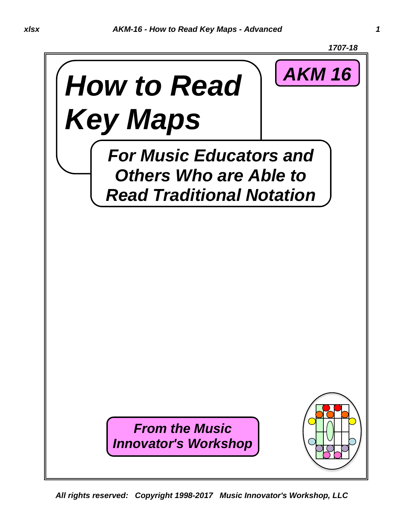

*All rights reserved: Copyright 1998-2017 Music Innovator's Workshop, LLC*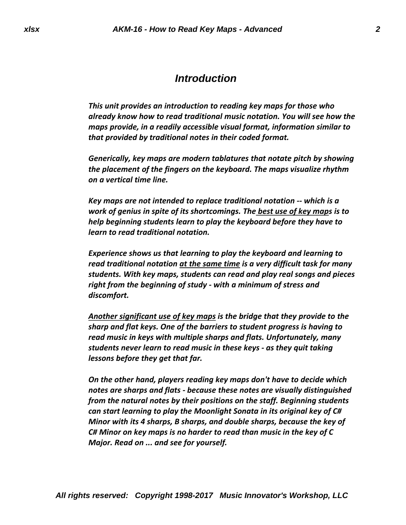### *Introduction*

*This unit provides an introduction to reading key maps for those who already know how to read traditional music notation. You will see how the maps provide, in a readily accessible visual format, information similar to that provided by traditional notes in their coded format.*

*Generically, key maps are modern tablatures that notate pitch by showing the placement of the fingers on the keyboard. The maps visualize rhythm on a vertical time line.*

*Key maps are not intended to replace traditional notation -- which is a work of genius in spite of its shortcomings. The best use of key maps is to help beginning students learn to play the keyboard before they have to learn to read traditional notation.*

*Experience shows us that learning to play the keyboard and learning to read traditional notation at the same time is a very difficult task for many students. With key maps, students can read and play real songs and pieces right from the beginning of study - with a minimum of stress and discomfort.*

*Another significant use of key maps is the bridge that they provide to the sharp and flat keys. One of the barriers to student progress is having to read music in keys with multiple sharps and flats. Unfortunately, many students never learn to read music in these keys - as they quit taking lessons before they get that far.*

*On the other hand, players reading key maps don't have to decide which notes are sharps and flats - because these notes are visually distinguished from the natural notes by their positions on the staff. Beginning students can start learning to play the Moonlight Sonata in its original key of C# Minor with its 4 sharps, B sharps, and double sharps, because the key of C# Minor on key maps is no harder to read than music in the key of C Major. Read on ... and see for yourself.*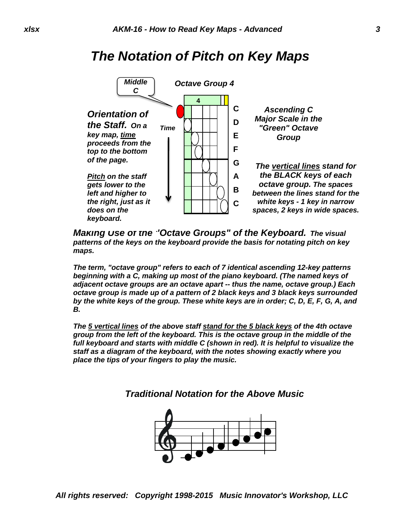## *The Notation of Pitch on Key Maps*



*Making Use of the "Octave Groups" of the Keyboard. The visual patterns of the keys on the keyboard provide the basis for notating pitch on key maps.*

*The term, "octave group" refers to each of 7 identical ascending 12-key patterns beginning with a C, making up most of the piano keyboard. (The named keys of adjacent octave groups are an octave apart -- thus the name, octave group.) Each octave group is made up of a pattern of 2 black keys and 3 black keys surrounded by the white keys of the group. These white keys are in order; C, D, E, F, G, A, and B.*

*The 5 vertical lines of the above staff stand for the 5 black keys of the 4th octave group from the left of the keyboard. This is the octave group in the middle of the full keyboard and starts with middle C (shown in red). It is helpful to visualize the staff as a diagram of the keyboard, with the notes showing exactly where you place the tips of your fingers to play the music.* 



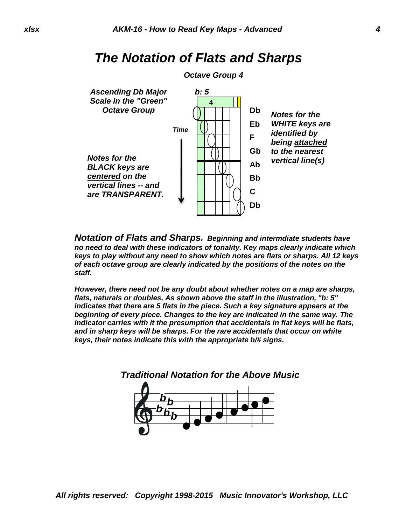*The Notation of Flats and Sharps*

#### *Octave Group 4 b: 5* **4 Db Eb** *Time* **F Gb Ab Bb C Db** *Ascending Db Major Scale in the "Green" Octave Group Notes for the BLACK keys are centered on the vertical lines -- and are TRANSPARENT. Notes for the WHITE keys are identified by being attached to the nearest vertical line(s)*

*Notation of Flats and Sharps. Beginning and intermdiate students have no need to deal with these indicators of tonality. Key maps clearly indicate which keys to play without any need to show which notes are flats or sharps. All 12 keys of each octave group are clearly indicated by the positions of the notes on the staff.*

*However, there need not be any doubt about whether notes on a map are sharps, flats, naturals or doubles. As shown above the staff in the illustration, "b: 5" indicates that there are 5 flats in the piece. Such a key signature appears at the beginning of every piece. Changes to the key are indicated in the same way. The indicator carries with it the presumption that accidentals in flat keys will be flats, and in sharp keys will be sharps. For the rare accidentals that occur on white keys, their notes indicate this with the appropriate b/# signs.* 

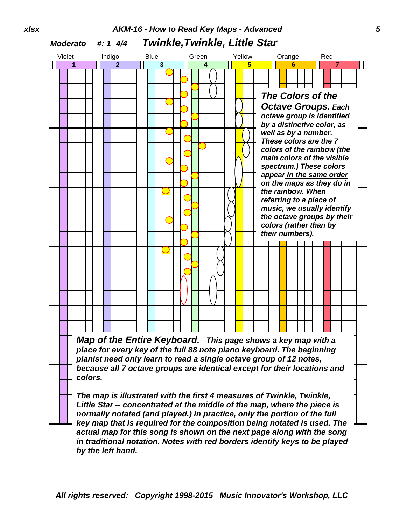## *xlsx AKM-16 - How to Read Key Maps - Advanced 5 Moderato #: 1 4/4 Twinkle,Twinkle, Little Star*

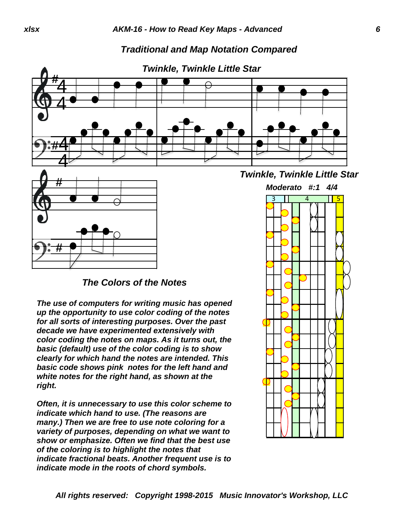#### *Traditional and Map Notation Compared*





*The Colors of the Notes*

*The use of computers for writing music has opened up the opportunity to use color coding of the notes for all sorts of interesting purposes. Over the past decade we have experimented extensively with color coding the notes on maps. As it turns out, the basic (default) use of the color coding is to show clearly for which hand the notes are intended. This basic code shows pink notes for the left hand and white notes for the right hand, as shown at the right.* 

*Often, it is unnecessary to use this color scheme to indicate which hand to use. (The reasons are many.) Then we are free to use note coloring for a variety of purposes, depending on what we want to show or emphasize. Often we find that the best use of the coloring is to highlight the notes that indicate fractional beats. Another frequent use is to indicate mode in the roots of chord symbols.* 

*Twinkle, Twinkle Little Star*

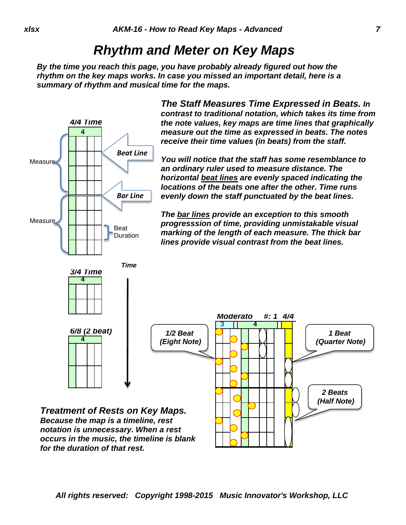## *Rhythm and Meter on Key Maps*

*By the time you reach this page, you have probably already figured out how the rhythm on the key maps works. In case you missed an important detail, here is a summary of rhythm and musical time for the maps.* 



*All rights reserved: Copyright 1998-2015 Music Innovator's Workshop, LLC*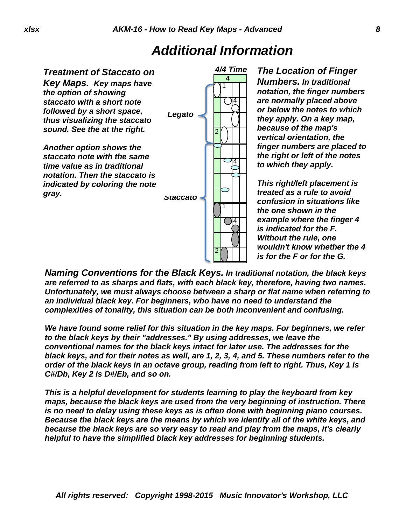# *Additional Information*



*The Location of Finger Numbers. In traditional notation, the finger numbers are normally placed above or below the notes to which they apply. On a key map, because of the map's vertical orientation, the finger numbers are placed to the right or left of the notes to which they apply.*

*This right/left placement is treated as a rule to avoid confusion in situations like the one shown in the example where the finger 4 is indicated for the F. Without the rule, one wouldn't know whether the 4 is for the F or for the G.* 

*Naming Conventions for the Black Keys. In traditional notation, the black keys are referred to as sharps and flats, with each black key, therefore, having two names. Unfortunately, we must always choose between a sharp or flat name when referring to an individual black key. For beginners, who have no need to understand the complexities of tonality, this situation can be both inconvenient and confusing.*

*We have found some relief for this situation in the key maps. For beginners, we refer to the black keys by their "addresses." By using addresses, we leave the conventional names for the black keys intact for later use. The addresses for the black keys, and for their notes as well, are 1, 2, 3, 4, and 5. These numbers refer to the order of the black keys in an octave group, reading from left to right. Thus, Key 1 is C#/Db, Key 2 is D#/Eb, and so on.*

*This is a helpful development for students learning to play the keyboard from key maps, because the black keys are used from the very beginning of instruction. There is no need to delay using these keys as is often done with beginning piano courses. Because the black keys are the means by which we identify all of the white keys, and because the black keys are so very easy to read and play from the maps, it's clearly helpful to have the simplified black key addresses for beginning students.*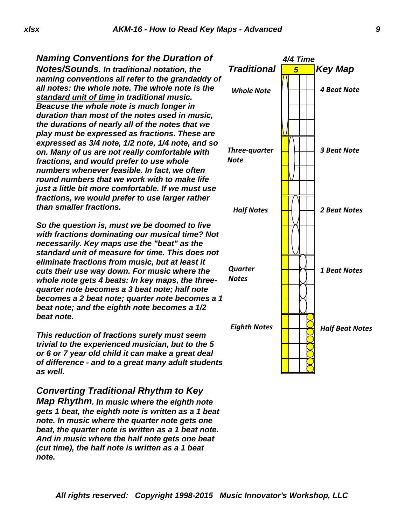*Naming Conventions for the Duration of Notes/Sounds. In traditional notation, the naming conventions all refer to the grandaddy of all notes: the whole note. The whole note is the standard unit of time in traditional music. Beacuse the whole note is much longer in duration than most of the notes used in music, the durations of nearly all of the notes that we play must be expressed as fractions. These are expressed as 3/4 note, 1/2 note, 1/4 note, and so on. Many of us are not really comfortable with fractions, and would prefer to use whole numbers whenever feasible. In fact, we often round numbers that we work with to make life just a little bit more comfortable. If we must use fractions, we would prefer to use larger rather than smaller fractions.*

*So the question is, must we be doomed to live with fractions dominating our musical time? Not necessarily. Key maps use the "beat" as the standard unit of measure for time. This does not eliminate fractions from music, but at least it cuts their use way down. For music where the whole note gets 4 beats: In key maps, the threequarter note becomes a 3 beat note; half note becomes a 2 beat note; quarter note becomes a 1 beat note; and the eighth note becomes a 1/2 beat note.*

*This reduction of fractions surely must seem trivial to the experienced musician, but to the 5 or 6 or 7 year old child it can make a great deal of difference - and to a great many adult students as well.*

*Converting Traditional Rhythm to Key Map Rhythm. In music where the eighth note gets 1 beat, the eighth note is written as a 1 beat note. In music where the quarter note gets one beat, the quarter note is written as a 1 beat note. And in music where the half note gets one beat (cut time), the half note is written as a 1 beat note.* 

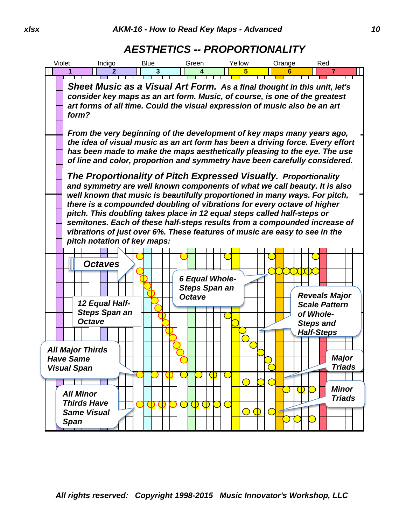## *AESTHETICS -- PROPORTIONALITY*

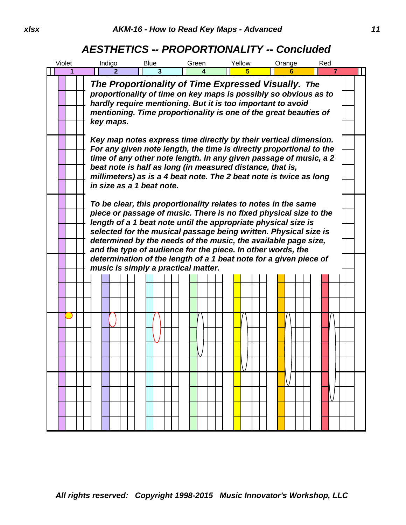## *AESTHETICS -- PROPORTIONALITY -- Concluded*

| Violet                                                                                                                                                                                                                                                                  | Indigo                                                                                                                                                                                                                                                                                                                                                                                                                                                                          | <b>Blue</b>                         | Green | Yellow | Orange | Red                                                                                                                                                                                                                                                           |
|-------------------------------------------------------------------------------------------------------------------------------------------------------------------------------------------------------------------------------------------------------------------------|---------------------------------------------------------------------------------------------------------------------------------------------------------------------------------------------------------------------------------------------------------------------------------------------------------------------------------------------------------------------------------------------------------------------------------------------------------------------------------|-------------------------------------|-------|--------|--------|---------------------------------------------------------------------------------------------------------------------------------------------------------------------------------------------------------------------------------------------------------------|
| 1                                                                                                                                                                                                                                                                       | $\mathbf{2}$                                                                                                                                                                                                                                                                                                                                                                                                                                                                    | 3                                   | 4     | 5.     | 6      | $\overline{7}$                                                                                                                                                                                                                                                |
| The Proportionality of Time Expressed Visually. The<br>proportionality of time on key maps is possibly so obvious as to<br>hardly require mentioning. But it is too important to avoid<br>mentioning. Time proportionality is one of the great beauties of<br>key maps. |                                                                                                                                                                                                                                                                                                                                                                                                                                                                                 |                                     |       |        |        |                                                                                                                                                                                                                                                               |
|                                                                                                                                                                                                                                                                         | Key map notes express time directly by their vertical dimension.<br>For any given note length, the time is directly proportional to the<br>time of any other note length. In any given passage of music, a 2<br>beat note is half as long (in measured distance, that is,<br>millimeters) as is a 4 beat note. The 2 beat note is twice as long<br>in size as a 1 beat note.                                                                                                    |                                     |       |        |        |                                                                                                                                                                                                                                                               |
|                                                                                                                                                                                                                                                                         | To be clear, this proportionality relates to notes in the same<br>piece or passage of music. There is no fixed physical size to the<br>length of a 1 beat note until the appropriate physical size is<br>selected for the musical passage being written. Physical size is<br>determined by the needs of the music, the available page size,<br>and the type of audience for the piece. In other words, the<br>determination of the length of a 1 beat note for a given piece of |                                     |       |        |        |                                                                                                                                                                                                                                                               |
|                                                                                                                                                                                                                                                                         |                                                                                                                                                                                                                                                                                                                                                                                                                                                                                 | music is simply a practical matter. |       |        |        |                                                                                                                                                                                                                                                               |
|                                                                                                                                                                                                                                                                         |                                                                                                                                                                                                                                                                                                                                                                                                                                                                                 |                                     |       |        |        |                                                                                                                                                                                                                                                               |
|                                                                                                                                                                                                                                                                         |                                                                                                                                                                                                                                                                                                                                                                                                                                                                                 |                                     |       |        |        |                                                                                                                                                                                                                                                               |
|                                                                                                                                                                                                                                                                         |                                                                                                                                                                                                                                                                                                                                                                                                                                                                                 |                                     |       |        |        |                                                                                                                                                                                                                                                               |
|                                                                                                                                                                                                                                                                         |                                                                                                                                                                                                                                                                                                                                                                                                                                                                                 |                                     |       |        |        |                                                                                                                                                                                                                                                               |
|                                                                                                                                                                                                                                                                         |                                                                                                                                                                                                                                                                                                                                                                                                                                                                                 |                                     |       |        |        |                                                                                                                                                                                                                                                               |
|                                                                                                                                                                                                                                                                         |                                                                                                                                                                                                                                                                                                                                                                                                                                                                                 |                                     |       |        |        | <mark>┝╉╌╂╂┤┝╉╌╂╂┨┝╊╌╂╂┨┝╋</mark> ╩╂╂┨┝ <mark>┪</mark> ┝╂╂┤┝┪┝╂╂┤┝┪┝╇╃<br>╈╋┷╋╋┿╼╋╋╼╈╋┽╈╈╈╈╈╈╈╋╋╋╋╋╈╋┷╋╈┷╈┪┝╋┷┿┯╋┪┝╋╇<br>┝╋╌╂╀┥┝╋╾╃╀┨┝╋╾╀╀┥┝╋╾╀╀┥┝ <mark>┽</mark> ╌╂╀┥┝╋╌╀╀╡┝╋╩╂╀┥<br>┝╉╌╂╂┥┝╋╾╂╂┨┝╂╌╂╂┨┝╋╌╂╂┨┝ <mark>┽</mark> ╌╂┥╷ <mark>╾</mark> ╾╀╀╡┝╋╌╂╂╡ |
|                                                                                                                                                                                                                                                                         |                                                                                                                                                                                                                                                                                                                                                                                                                                                                                 |                                     |       |        |        |                                                                                                                                                                                                                                                               |
|                                                                                                                                                                                                                                                                         |                                                                                                                                                                                                                                                                                                                                                                                                                                                                                 |                                     |       |        |        |                                                                                                                                                                                                                                                               |